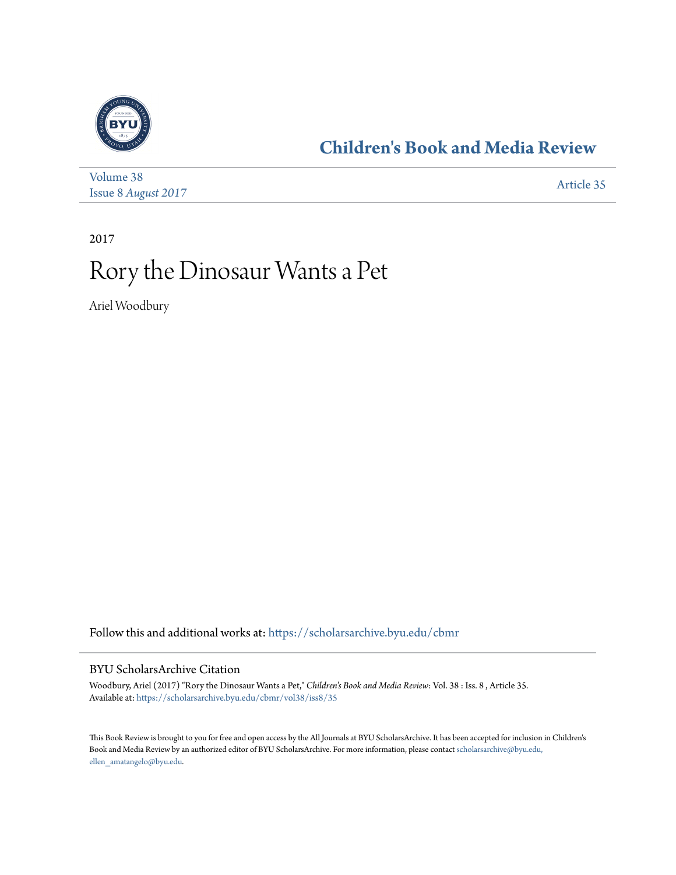

## **[Children's Book and Media Review](https://scholarsarchive.byu.edu/cbmr?utm_source=scholarsarchive.byu.edu%2Fcbmr%2Fvol38%2Fiss8%2F35&utm_medium=PDF&utm_campaign=PDFCoverPages)**

| Volume 38                  | Article 35 |
|----------------------------|------------|
| <b>Issue 8 August 2017</b> |            |

2017

## Rory the Dinosaur Wants a Pet

Ariel Woodbury

Follow this and additional works at: [https://scholarsarchive.byu.edu/cbmr](https://scholarsarchive.byu.edu/cbmr?utm_source=scholarsarchive.byu.edu%2Fcbmr%2Fvol38%2Fiss8%2F35&utm_medium=PDF&utm_campaign=PDFCoverPages)

## BYU ScholarsArchive Citation

Woodbury, Ariel (2017) "Rory the Dinosaur Wants a Pet," *Children's Book and Media Review*: Vol. 38 : Iss. 8 , Article 35. Available at: [https://scholarsarchive.byu.edu/cbmr/vol38/iss8/35](https://scholarsarchive.byu.edu/cbmr/vol38/iss8/35?utm_source=scholarsarchive.byu.edu%2Fcbmr%2Fvol38%2Fiss8%2F35&utm_medium=PDF&utm_campaign=PDFCoverPages)

This Book Review is brought to you for free and open access by the All Journals at BYU ScholarsArchive. It has been accepted for inclusion in Children's Book and Media Review by an authorized editor of BYU ScholarsArchive. For more information, please contact [scholarsarchive@byu.edu,](mailto:scholarsarchive@byu.edu,%20ellen_amatangelo@byu.edu) [ellen\\_amatangelo@byu.edu.](mailto:scholarsarchive@byu.edu,%20ellen_amatangelo@byu.edu)